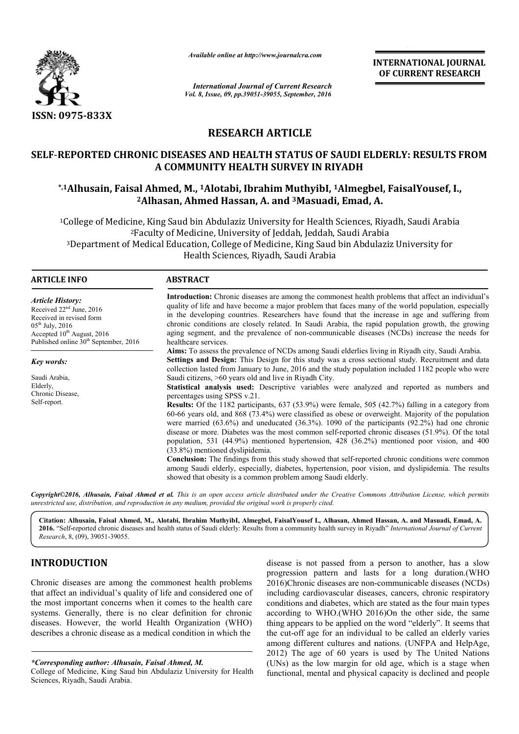

*Available online at http://www.journalcra.com*

INTERNATIONAL JOURNAL OF CURRENT RESEARCH

*Vol. 8, Issue, 09, pp.39051-39055, September, 2016 International Journal of Current Research*

## RESEARCH ARTICLE

## SELF-REPORTED CHRONIC DISEASES AND HEALTH STATUS OF SAUDI ELDERLY: RESULTS FROM A COMMUNITY HEALTH SURVEY IN RIYADH REPORTED CHRONIC DISEASES AND HEALTH STATUS OF SAUDI ELDERLY: RESULTS FROM<br>A COMMUNITY HEALTH SURVEY IN RIYADH<br>Alhusain, Faisal Ahmed, M., 1Alotabi, Ibrahim MuthyibI, 1Almegbel, FaisalYousef, I.,\*

# <sup>2</sup>Alhasan, Ahmed Hassan, A. and <sup>3</sup>Masuadi, Emad, A.

<sup>1</sup>College of Medicine, King Saud bin Abdulaziz University for Health Sciences, Riyadh, Saudi Arabia 2Faculty of Medicine, University of Jeddah, Jeddah, Saudi Arabia 3Department of Medical Education, College of Medicine, King Saud bin Abdulaziz University for Health Sciences, Riyadh, Saudi Arabia College of Medicine, King Saud bin Abdulaziz Uni<br><sup>2</sup>Faculty of Medicine, University<sup>3</sup><br>Department of Medical Education, College of M<br>Health Sciences, Ri Saudi Arabia<br>bin Abdulaziz University

| $\overline{\mathbf{r}}$<br>l kil<br><i>FUNIL</i> | $\sim$<br>кaі<br>u l<br>$\mathbf{1}$ |  |
|--------------------------------------------------|--------------------------------------|--|
|                                                  |                                      |  |

*Article History:* Received 22<sup>nd</sup> June, 2016 Received in revised form  $05<sup>th</sup>$  July, 2016 Accepted 10<sup>th</sup> August, 2016 Published online  $30<sup>th</sup>$  September, 2016

*Key words:* Saudi Arabia, Elderly, Chronic Disease,

Self-report.

aging segment, and the prevalence of non-communicable diseases healthcare services. Aims: To assess the prevalence of NCDs among Saudi elderlies living in Riyadh city, Saudi Arabia. Settings and Design: This Design for this study was a cross sectional study. Recruitment and data Aims: To assess the prevalence of NCDs among Saudi elderlies living in Riyadh city, Saudi Arabia.<br>Settings and Design: This Design for this study was a cross sectional study. Recruitment and data collection lasted from Jan Saudi citizens, >60 years old and live in Riyadh City. Statistical analysis used: Descriptive variables were analyzed and reported as numbers and percentages using SPSS v.21. Results: Of the 1182 participants, 637 (53.9%) were female, 505 (42.7%) falling in a category from 60-66 years old, and 868 (73.4%) were classified as obese or overweight. Majority of the population were married (63.6%) and uneducated (36.3%). 1090 of the participants (92.2%) had one chronic disease or more. Diabe Diabetes was the most common self-reported chronic diseases (51.9%). Of the total population, 531 (44.9%) mentioned hypertension, 428 (36.2%) mentioned poor vision, and 400 (33.8%) mentioned dyslipidemia. Conclusion: The findings from this study showed that self-reported chronic conditions were common among Saudi elderly, especially, diabetes, hypertension, poor vision, and dyslipidemia. The results showed that obesity is a common problem among Saudi elderly. quality of life and have become a major problem that faces many of the world population, especially in the developing countries. Researchers have found that the increase in age and suffering from chronic conditions are clo **Statistical analysis used:** Descriptive variables were analyzed and reported as numbers and percentages using SPSS v.21.<br> **Results:** Of the 1182 participants, 637 (53.9%) were female, 505 (42.7%) falling in a category fr INTERNATIONAL JOURNAL<br>
OF CURRENT RESEARCH<br>
OF CURRENT RESEARCH<br>
MCTICLE<br>
IS TATUS OF SAUDI ELDERLY: RESULTS FROM<br>
IS INTECTIVE SURVEY IN RIYADH<br>
IN MUINY INTADH<br>
IN MUINY INTARDH<br>
IN MUINY INTARDH<br>
IN MUINY INTARDH<br>
IN M

Introduction: Chronic diseases are among the commonest health problems that affect an individual's quality of life and have become a major problem that faces many of the world population, especially in the developing countries. Researchers have found that the increase in age and suffering from chronic conditions are closely related. In Saudi Arabia, the rapid population growth, the growing

*Copyright©2016, Alhusain, Faisal Ahmed et al. This is an open access article distributed under the Creative Commons Att Attribution License, which permits unrestricted use, distribution, and reproduction in any medium, provided the original work is properly cited.*

Citation: Alhusain, Faisal Ahmed, M., Alotabi, Ibrahim MuthyibI, Almegbel, FaisalYousef I., Alhasan, Ahmed Hassan, A. and Masuadi, Emad, A. 2016. "Self-reported chronic diseases and health status of Saudi elderly: Results from a community health survey in Riyadh" *International Journal of Current Research*, 8, (09), 39051-39055.

## INTRODUCTION

Chronic diseases are among the commonest health problems that affect an individual's quality of life and considered one of the most important concerns when it comes to the health care systems. Generally, there is no clear definition for chronic diseases. However, the world Health Organization (WHO) describes a chronic disease as a medical condition in which the

*\*Corresponding author: Alhusain, Faisal Ahmed, M.* 

disease is not passed from a person to another, has a slow disease is not passed from a person to another, has a slow<br>progression pattern and lasts for a long duration.(WHO 2016)Chronic diseases are non--communicable diseases (NCDs) including cardiovascular diseases, cancers, chronic respiratory conditions and diabetes, which are stated as the four main types according to WHO.(WHO 2016)On the other side, the same thing appears to be applied on the word "elderly". It seems that thing appears to be applied on the word "elderly". It seems that the cut-off age for an individual to be called an elderly varies among different cultures and nations. (UNFPA and HelpAge, 2012) The age of 60 years is used by The United Nations (UNs) as the low margin for old age, which is a stage when functional, mental and physical capacity is declined and people cardiovascular diseases, cancers, chronic respiratory<br>and diabetes, which are stated as the four main types<br>to WHO.(WHO 2016)On the other side, the same

College of Medicine, King Saud bin Abdulaziz University for Health Sciences, Riyadh, Saudi Arabia.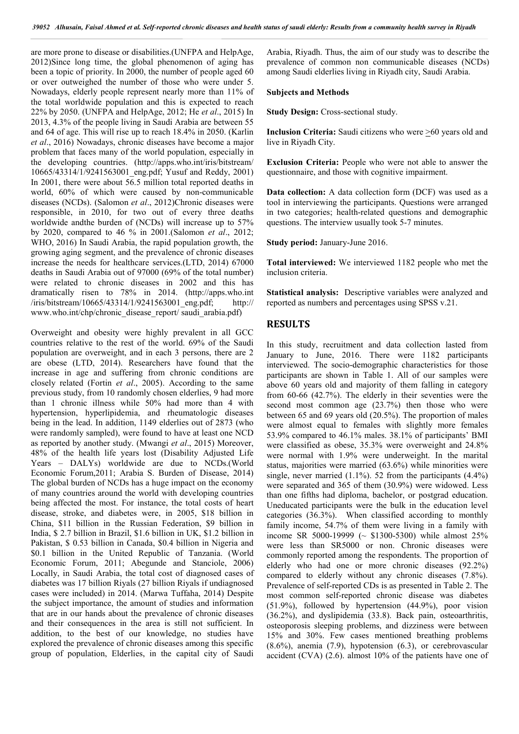are more prone to disease or disabilities.(UNFPA and HelpAge, 2012)Since long time, the global phenomenon of aging has been a topic of priority. In 2000, the number of people aged 60 or over outweighed the number of those who were under 5. Nowadays, elderly people represent nearly more than 11% of the total worldwide population and this is expected to reach 22% by 2050. (UNFPA and HelpAge, 2012; He *et al*., 2015) In 2013, 4.3% of the people living in Saudi Arabia are between 55 and 64 of age. This will rise up to reach 18.4% in 2050. (Karlin *et al*., 2016) Nowadays, chronic diseases have become a major problem that faces many of the world population, especially in the developing countries. (http://apps.who.int/iris/bitstream/ 10665/43314/1/9241563001\_eng.pdf; Yusuf and Reddy, 2001) In 2001, there were about 56.5 million total reported deaths in world, 60% of which were caused by non-communicable diseases (NCDs). (Salomon *et al*., 2012)Chronic diseases were responsible, in 2010, for two out of every three deaths worldwide andthe burden of (NCDs) will increase up to 57% by 2020, compared to 46 % in 2001.(Salomon *et al*., 2012; WHO, 2016) In Saudi Arabia, the rapid population growth, the growing aging segment, and the prevalence of chronic diseases increase the needs for healthcare services.(LTD, 2014) 67000 deaths in Saudi Arabia out of 97000 (69% of the total number) were related to chronic diseases in 2002 and this has dramatically risen to 78% in 2014. (http://apps.who.int /iris/bitstream/10665/43314/1/9241563001\_eng.pdf; http:// www.who.int/chp/chronic\_disease\_report/ saudi\_arabia.pdf)

Overweight and obesity were highly prevalent in all GCC countries relative to the rest of the world. 69% of the Saudi population are overweight, and in each 3 persons, there are 2 are obese (LTD, 2014). Researchers have found that the increase in age and suffering from chronic conditions are closely related (Fortin *et al*., 2005). According to the same previous study, from 10 randomly chosen elderlies, 9 had more than 1 chronic illness while 50% had more than 4 with hypertension, hyperlipidemia, and rheumatologic diseases being in the lead. In addition, 1149 elderlies out of 2873 (who were randomly sampled), were found to have at least one NCD as reported by another study. (Mwangi *et al*., 2015) Moreover, 48% of the health life years lost (Disability Adjusted Life Years – DALYs) worldwide are due to NCDs.(World Economic Forum,2011; Arabia S. Burden of Disease, 2014) The global burden of NCDs has a huge impact on the economy of many countries around the world with developing countries being affected the most. For instance, the total costs of heart disease, stroke, and diabetes were, in 2005, \$18 billion in China, \$11 billion in the Russian Federation, \$9 billion in India, \$ 2.7 billion in Brazil, \$1.6 billion in UK, \$1.2 billion in Pakistan, \$ 0.53 billion in Canada, \$0.4 billion in Nigeria and \$0.1 billion in the United Republic of Tanzania. (World Economic Forum, 2011; Abegunde and Stanciole, 2006) Locally, in Saudi Arabia, the total cost of diagnosed cases of diabetes was 17 billion Riyals (27 billion Riyals if undiagnosed cases were included) in 2014. (Marwa Tuffaha, 2014) Despite the subject importance, the amount of studies and information that are in our hands about the prevalence of chronic diseases and their consequences in the area is still not sufficient. In addition, to the best of our knowledge, no studies have explored the prevalence of chronic diseases among this specific group of population, Elderlies, in the capital city of Saudi

Arabia, Riyadh. Thus, the aim of our study was to describe the prevalence of common non communicable diseases (NCDs) among Saudi elderlies living in Riyadh city, Saudi Arabia.

#### Subjects and Methods

Study Design: Cross-sectional study.

Inclusion Criteria: Saudi citizens who were >60 years old and live in Riyadh City.

Exclusion Criteria: People who were not able to answer the questionnaire, and those with cognitive impairment.

Data collection: A data collection form (DCF) was used as a tool in interviewing the participants. Questions were arranged in two categories; health-related questions and demographic questions. The interview usually took 5-7 minutes.

Study period: January-June 2016.

Total interviewed: We interviewed 1182 people who met the inclusion criteria.

Statistical analysis: Descriptive variables were analyzed and reported as numbers and percentages using SPSS v.21.

### RESULTS

In this study, recruitment and data collection lasted from January to June, 2016. There were 1182 participants interviewed. The socio-demographic characteristics for those participants are shown in Table 1. All of our samples were above 60 years old and majority of them falling in category from 60-66 (42.7%). The elderly in their seventies were the second most common age (23.7%) then those who were between 65 and 69 years old (20.5%). The proportion of males were almost equal to females with slightly more females 53.9% compared to 46.1% males. 38.1% of participants' BMI were classified as obese, 35.3% were overweight and 24.8% were normal with 1.9% were underweight. In the marital status, majorities were married (63.6%) while minorities were single, never married  $(1.1\%)$ . 52 from the participants  $(4.4\%)$ were separated and 365 of them (30.9%) were widowed. Less than one fifths had diploma, bachelor, or postgrad education. Uneducated participants were the bulk in the education level categories (36.3%). When classified according to monthly family income, 54.7% of them were living in a family with income SR 5000-19999 ( $\sim$  \$1300-5300) while almost 25% were less than SR5000 or non. Chronic diseases were commonly reported among the respondents. The proportion of elderly who had one or more chronic diseases (92.2%) compared to elderly without any chronic diseases (7.8%). Prevalence of self-reported CDs is as presented in Table 2. The most common self-reported chronic disease was diabetes (51.9%), followed by hypertension (44.9%), poor vision (36.2%), and dyslipidemia (33.8). Back pain, osteoarthritis, osteoporosis sleeping problems, and dizziness were between 15% and 30%. Few cases mentioned breathing problems (8.6%), anemia (7.9), hypotension (6.3), or cerebrovascular accident (CVA) (2.6). almost 10% of the patients have one of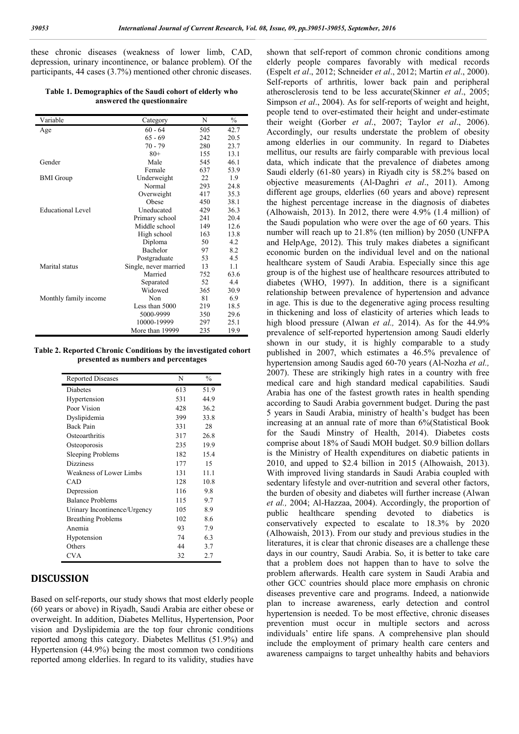these chronic diseases (weakness of lower limb, CAD, depression, urinary incontinence, or balance problem). Of the participants, 44 cases (3.7%) mentioned other chronic diseases.

Table 1. Demographics of the Saudi cohort of elderly who answered the questionnaire

| Variable              | Category              | N   | $\frac{0}{0}$ |
|-----------------------|-----------------------|-----|---------------|
| Age                   | $60 - 64$             | 505 | 42.7          |
|                       | $65 - 69$             | 242 | 20.5          |
|                       | 70 - 79               | 280 | 23.7          |
|                       | $80+$                 | 155 | 13.1          |
| Gender                | Male                  | 545 | 46.1          |
|                       | Female                | 637 | 53.9          |
| <b>BMI</b> Group      | Underweight           | 22  | 1.9           |
|                       | Normal                | 293 | 24.8          |
|                       | Overweight            | 417 | 35.3          |
|                       | Obese                 | 450 | 38.1          |
| Educational Level     | Uneducated            | 429 | 36.3          |
|                       | Primary school        | 241 | 20.4          |
|                       | Middle school         | 149 | 12.6          |
|                       | High school           | 163 | 13.8          |
|                       | Diploma               | 50  | 4.2           |
|                       | Bachelor              | 97  | 8.2           |
|                       | Postgraduate          | 53  | 4.5           |
| Marital status        | Single, never married | 13  | 1.1           |
|                       | Married               | 752 | 63.6          |
|                       | Separated             | 52  | 4.4           |
|                       | Widowed               | 365 | 30.9          |
| Monthly family income | Non                   | 81  | 6.9           |
|                       | Less than 5000        | 219 | 18.5          |
|                       | 5000-9999             | 350 | 29.6          |
|                       | 10000-19999           | 297 | 25.1          |
|                       | More than 19999       | 235 | 19.9          |

Table 2. Reported Chronic Conditions by the investigated cohort presented as numbers and percentages

| <b>Reported Diseases</b>     | N   | $\frac{0}{0}$ |
|------------------------------|-----|---------------|
| Diabetes                     | 613 | 51.9          |
| Hypertension                 | 531 | 44.9          |
| Poor Vision                  | 428 | 36.2          |
| Dyslipidemia                 | 399 | 33.8          |
| <b>Back Pain</b>             | 331 | 28            |
| Osteoarthritis               | 317 | 26.8          |
| Osteoporosis                 | 235 | 19.9          |
| <b>Sleeping Problems</b>     | 182 | 15.4          |
| <b>Dizziness</b>             | 177 | 15            |
| Weakness of Lower Limbs      | 131 | 11.1          |
| CAD                          | 128 | 10.8          |
| Depression                   | 116 | 9.8           |
| <b>Balance Problems</b>      | 115 | 9.7           |
| Urinary Incontinence/Urgency | 105 | 8.9           |
| <b>Breathing Problems</b>    | 102 | 8.6           |
| Anemia                       | 93  | 7.9           |
| Hypotension                  | 74  | 6.3           |
| Others                       | 44  | 3.7           |
| <b>CVA</b>                   | 32  | 2.7           |

## **DISCUSSION**

Based on self-reports, our study shows that most elderly people (60 years or above) in Riyadh, Saudi Arabia are either obese or overweight. In addition, Diabetes Mellitus, Hypertension, Poor vision and Dyslipidemia are the top four chronic conditions reported among this category. Diabetes Mellitus (51.9%) and Hypertension (44.9%) being the most common two conditions reported among elderlies. In regard to its validity, studies have

shown that self-report of common chronic conditions among elderly people compares favorably with medical records (Espelt *et al*., 2012; Schneider *et al*., 2012; Martin *et al*., 2000). Self-reports of arthritis, lower back pain and peripheral atherosclerosis tend to be less accurate(Skinner *et al*., 2005; Simpson *et al*., 2004). As for self-reports of weight and height, people tend to over-estimated their height and under-estimate their weight (Gorber *et al*., 2007; Taylor *et al*., 2006). Accordingly, our results understate the problem of obesity among elderlies in our community. In regard to Diabetes mellitus, our results are fairly comparable with previous local data, which indicate that the prevalence of diabetes among Saudi elderly (61-80 years) in Riyadh city is 58.2% based on objective measurements (Al-Daghri *et al*., 2011). Among different age groups, elderlies (60 years and above) represent the highest percentage increase in the diagnosis of diabetes (Alhowaish, 2013). In 2012, there were 4.9% (1.4 million) of the Saudi population who were over the age of 60 years. This number will reach up to 21.8% (ten million) by 2050 (UNFPA and HelpAge, 2012). This truly makes diabetes a significant economic burden on the individual level and on the national healthcare system of Saudi Arabia. Especially since this age group is of the highest use of healthcare resources attributed to diabetes (WHO, 1997). In addition, there is a significant relationship between prevalence of hypertension and advance in age. This is due to the degenerative aging process resulting in thickening and loss of elasticity of arteries which leads to high blood pressure (Alwan *et al.,* 2014). As for the 44.9% prevalence of self-reported hypertension among Saudi elderly shown in our study, it is highly comparable to a study published in 2007, which estimates a 46.5% prevalence of hypertension among Saudis aged 60-70 years (Al-Nozha *et al.,*  2007). These are strikingly high rates in a country with free medical care and high standard medical capabilities. Saudi Arabia has one of the fastest growth rates in health spending according to Saudi Arabia government budget. During the past 5 years in Saudi Arabia, ministry of health's budget has been increasing at an annual rate of more than 6%(Statistical Book for the Saudi Minstry of Health, 2014). Diabetes costs comprise about 18% of Saudi MOH budget. \$0.9 billion dollars is the Ministry of Health expenditures on diabetic patients in 2010, and upped to \$2.4 billion in 2015 (Alhowaish, 2013). With improved living standards in Saudi Arabia coupled with sedentary lifestyle and over-nutrition and several other factors, the burden of obesity and diabetes will further increase (Alwan *et al.,* 2004; Al-Hazzaa, 2004). Accordingly, the proportion of public healthcare spending devoted to diabetics is conservatively expected to escalate to 18.3% by 2020 (Alhowaish, 2013). From our study and previous studies in the literatures, it is clear that chronic diseases are a challenge these days in our country, Saudi Arabia. So, it is better to take care that a problem does not happen than to have to solve the problem afterwards. Health care system in Saudi Arabia and other GCC countries should place more emphasis on chronic diseases preventive care and programs. Indeed, a nationwide plan to increase awareness, early detection and control hypertension is needed. To be most effective, chronic diseases prevention must occur in multiple sectors and across individuals' entire life spans. A comprehensive plan should include the employment of primary health care centers and awareness campaigns to target unhealthy habits and behaviors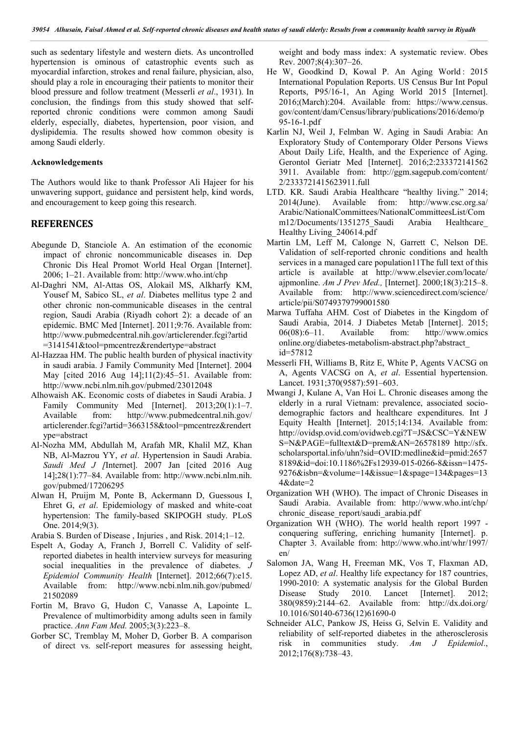such as sedentary lifestyle and western diets. As uncontrolled hypertension is ominous of catastrophic events such as myocardial infarction, strokes and renal failure, physician, also, should play a role in encouraging their patients to monitor their blood pressure and follow treatment (Messerli *et al*., 1931). In conclusion, the findings from this study showed that selfreported chronic conditions were common among Saudi elderly, especially, diabetes, hypertension, poor vision, and dyslipidemia. The results showed how common obesity is among Saudi elderly.

#### Acknowledgements

The Authors would like to thank Professor Ali Hajeer for his unwavering support, guidance and persistent help, kind words, and encouragement to keep going this research.

#### REFERENCES

- Abegunde D, Stanciole A. An estimation of the economic impact of chronic noncommunicable diseases in. Dep Chronic Dis Heal Promot World Heal Organ [Internet]. 2006; 1–21. Available from: http://www.who.int/chp
- Al-Daghri NM, Al-Attas OS, Alokail MS, Alkharfy KM, Yousef M, Sabico SL, *et al*. Diabetes mellitus type 2 and other chronic non-communicable diseases in the central region, Saudi Arabia (Riyadh cohort 2): a decade of an epidemic. BMC Med [Internet]. 2011;9:76. Available from: http://www.pubmedcentral.nih.gov/articlerender.fcgi?artid =3141541&tool=pmcentrez&rendertype=abstract
- Al-Hazzaa HM. The public health burden of physical inactivity in saudi arabia. J Family Community Med [Internet]. 2004 May [cited 2016 Aug 14];11(2):45–51. Available from: http://www.ncbi.nlm.nih.gov/pubmed/23012048
- Alhowaish AK. Economic costs of diabetes in Saudi Arabia. J Family Community Med [Internet]. 2013;20(1):1-7. Available from: http://www.pubmedcentral.nih.gov/ articlerender.fcgi?artid=3663158&tool=pmcentrez&rendert ype=abstract
- Al-Nozha MM, Abdullah M, Arafah MR, Khalil MZ, Khan NB, Al-Mazrou YY, *et al*. Hypertension in Saudi Arabia. Saudi Med J /Internet]. 2007 Jan [cited 2016 Aug 14];28(1):77–84. Available from: http://www.ncbi.nlm.nih. gov/pubmed/17206295
- Alwan H, Pruijm M, Ponte B, Ackermann D, Guessous I, Ehret G, *et al*. Epidemiology of masked and white-coat hypertension: The family-based SKIPOGH study. PLoS One. 2014;9(3).

Arabia S. Burden of Disease , Injuries , and Risk. 2014;1–12.

- Espelt A, Goday A, Franch J, Borrell C. Validity of selfreported diabetes in health interview surveys for measuring social inequalities in the prevalence of diabetes. *J Epidemiol Community Health* [Internet]. 2012;66(7):e15. Available from: http://www.ncbi.nlm.nih.gov/pubmed/ 21502089
- Fortin M, Bravo G, Hudon C, Vanasse A, Lapointe L. Prevalence of multimorbidity among adults seen in family practice. *Ann Fam Med.* 2005;3(3):223–8.
- Gorber SC, Tremblay M, Moher D, Gorber B. A comparison of direct vs. self-report measures for assessing height,

weight and body mass index: A systematic review. Obes Rev. 2007;8(4):307–26.

- He W, Goodkind D, Kowal P. An Aging World: 2015 International Population Reports. US Census Bur Int Popul Reports, P95/16-1, An Aging World 2015 [Internet]. 2016;(March):204. Available from: https://www.census. gov/content/dam/Census/library/publications/2016/demo/p 95-16-1.pdf
- Karlin NJ, Weil J, Felmban W. Aging in Saudi Arabia: An Exploratory Study of Contemporary Older Persons Views About Daily Life, Health, and the Experience of Aging. Gerontol Geriatr Med [Internet]. 2016;2:233372141562 3911. Available from: http://ggm.sagepub.com/content/ 2/2333721415623911.full
- LTD. KR. Saudi Arabia Healthcare "healthy living." 2014; 2014(June). Available from: http://www.csc.org.sa/ Arabic/NationalCommittees/NationalCommitteesList/Com m12/Documents/1351275 Saudi Arabia Healthcare Healthy Living\_240614.pdf
- Martin LM, Leff M, Calonge N, Garrett C, Nelson DE. Validation of self-reported chronic conditions and health services in a managed care population11The full text of this article is available at http://www.elsevier.com/locate/ ajpmonline. *Am J Prev Med.,* [Internet]. 2000;18(3):215–8. Available from: http://www.sciencedirect.com/science/ article/pii/S0749379799001580
- Marwa Tuffaha AHM. Cost of Diabetes in the Kingdom of Saudi Arabia, 2014. J Diabetes Metab [Internet]. 2015; 06(08):6–11. Available from: http://www.omics online.org/diabetes-metabolism-abstract.php?abstract\_ id=57812
- Messerli FH, Williams B, Ritz E, White P, Agents VACSG on A, Agents VACSG on A, *et al*. Essential hypertension. Lancet. 1931;370(9587):591–603.
- Mwangi J, Kulane A, Van Hoi L. Chronic diseases among the elderly in a rural Vietnam: prevalence, associated sociodemographic factors and healthcare expenditures. Int J Equity Health [Internet]. 2015;14:134. Available from: http://ovidsp.ovid.com/ovidweb.cgi?T=JS&CSC=Y&NEW S=N&PAGE=fulltext&D=prem&AN=26578189 http://sfx. scholarsportal.info/uhn?sid=OVID:medline&id=pmid:2657 8189&id=doi:10.1186%2Fs12939-015-0266-8&issn=1475- 9276&isbn=&volume=14&issue=1&spage=134&pages=13 4&date=2
- Organization WH (WHO). The impact of Chronic Diseases in Saudi Arabia. Available from: http://www.who.int/chp/ chronic\_disease\_report/saudi\_arabia.pdf
- Organization WH (WHO). The world health report 1997 conquering suffering, enriching humanity [Internet]. p. Chapter 3. Available from: http://www.who.int/whr/1997/ en/
- Salomon JA, Wang H, Freeman MK, Vos T, Flaxman AD, Lopez AD, *et al*. Healthy life expectancy for 187 countries, 1990-2010: A systematic analysis for the Global Burden Disease Study 2010. Lancet [Internet]. 2012; 380(9859):2144–62. Available from: http://dx.doi.org/ 10.1016/S0140-6736(12)61690-0
- Schneider ALC, Pankow JS, Heiss G, Selvin E. Validity and reliability of self-reported diabetes in the atherosclerosis risk in communities study. *Am J Epidemiol*., 2012;176(8):738–43.